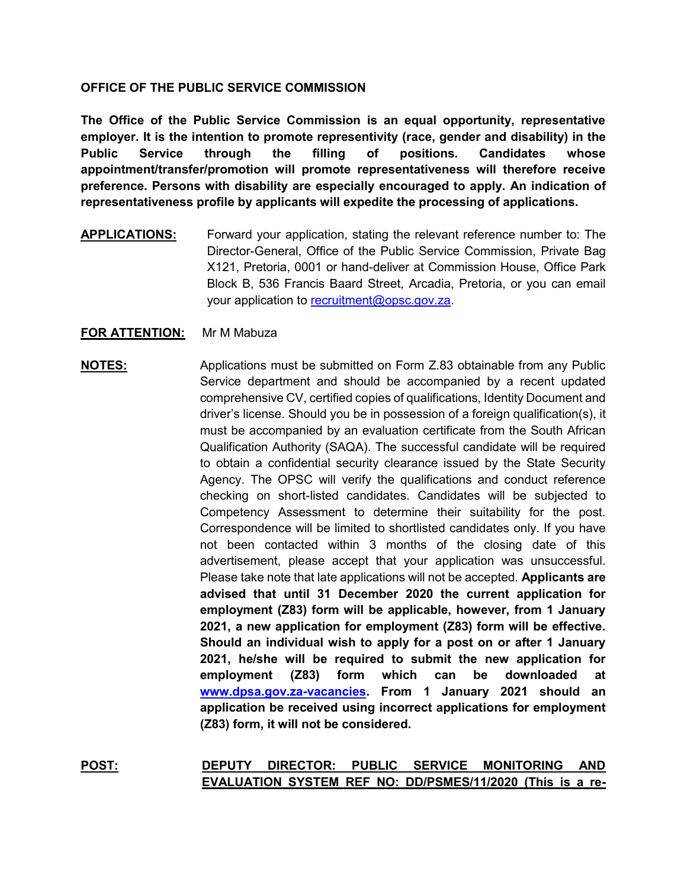### **OFFICE OF THE PUBLIC SERVICE COMMISSION**

**The Office of the Public Service Commission is an equal opportunity, representative employer. It is the intention to promote representivity (race, gender and disability) in the Public Service through the filling of positions. Candidates whose appointment/transfer/promotion will promote representativeness will therefore receive preference. Persons with disability are especially encouraged to apply. An indication of representativeness profile by applicants will expedite the processing of applications.**

**APPLICATIONS:** Forward your application, stating the relevant reference number to: The Director-General, Office of the Public Service Commission, Private Bag X121, Pretoria, 0001 or hand-deliver at Commission House, Office Park Block B, 536 Francis Baard Street, Arcadia, Pretoria, or you can email your application to [recruitment@opsc.gov.za.](mailto:recruitment@opsc.gov.za)

## **FOR ATTENTION:** Mr M Mabuza

# **NOTES:** Applications must be submitted on Form Z.83 obtainable from any Public Service department and should be accompanied by a recent updated comprehensive CV, certified copies of qualifications, Identity Document and driver's license. Should you be in possession of a foreign qualification(s), it must be accompanied by an evaluation certificate from the South African Qualification Authority (SAQA). The successful candidate will be required to obtain a confidential security clearance issued by the State Security Agency. The OPSC will verify the qualifications and conduct reference checking on short-listed candidates. Candidates will be subjected to Competency Assessment to determine their suitability for the post. Correspondence will be limited to shortlisted candidates only. If you have not been contacted within 3 months of the closing date of this advertisement, please accept that your application was unsuccessful. Please take note that late applications will not be accepted. **Applicants are advised that until 31 December 2020 the current application for employment (Z83) form will be applicable, however, from 1 January 2021, a new application for employment (Z83) form will be effective. Should an individual wish to apply for a post on or after 1 January 2021, he/she will be required to submit the new application for employment (Z83) form which can be downloaded at [www.dpsa.gov.za-vacancies.](http://www.dpsa.gov.za-vacancies/) From 1 January 2021 should an application be received using incorrect applications for employment (Z83) form, it will not be considered.**

**POST: DEPUTY DIRECTOR: PUBLIC SERVICE MONITORING AND EVALUATION SYSTEM REF NO: DD/PSMES/11/2020 (This is a re-**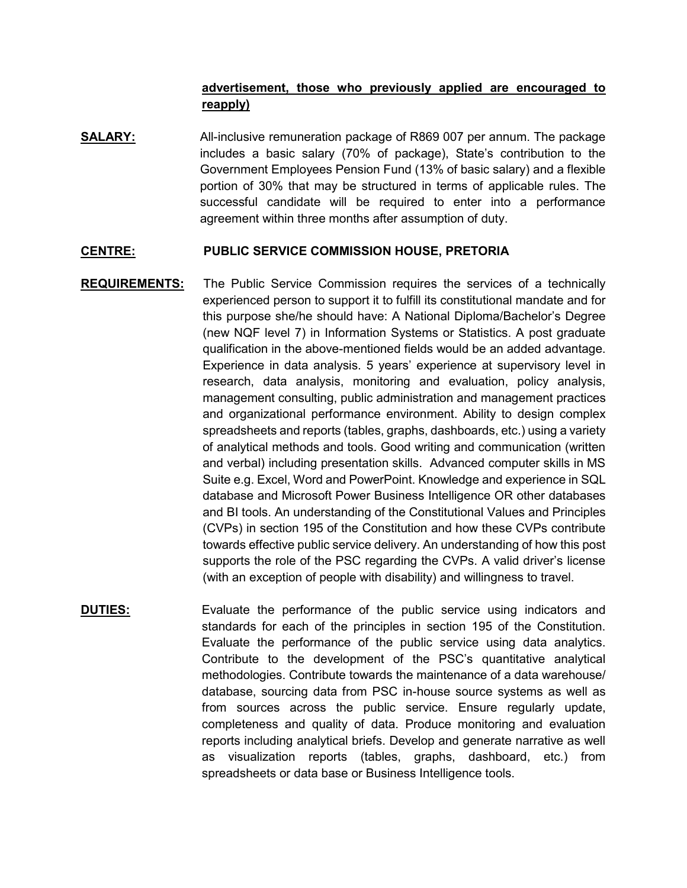## **advertisement, those who previously applied are encouraged to reapply)**

**SALARY:** All-inclusive remuneration package of R869 007 per annum. The package includes a basic salary (70% of package), State's contribution to the Government Employees Pension Fund (13% of basic salary) and a flexible portion of 30% that may be structured in terms of applicable rules. The successful candidate will be required to enter into a performance agreement within three months after assumption of duty.

#### **CENTRE: PUBLIC SERVICE COMMISSION HOUSE, PRETORIA**

- **REQUIREMENTS:** The Public Service Commission requires the services of a technically experienced person to support it to fulfill its constitutional mandate and for this purpose she/he should have: A National Diploma/Bachelor's Degree (new NQF level 7) in Information Systems or Statistics. A post graduate qualification in the above-mentioned fields would be an added advantage. Experience in data analysis. 5 years' experience at supervisory level in research, data analysis, monitoring and evaluation, policy analysis, management consulting, public administration and management practices and organizational performance environment. Ability to design complex spreadsheets and reports (tables, graphs, dashboards, etc.) using a variety of analytical methods and tools. Good writing and communication (written and verbal) including presentation skills. Advanced computer skills in MS Suite e.g. Excel, Word and PowerPoint. Knowledge and experience in SQL database and Microsoft Power Business Intelligence OR other databases and BI tools. An understanding of the Constitutional Values and Principles (CVPs) in section 195 of the Constitution and how these CVPs contribute towards effective public service delivery. An understanding of how this post supports the role of the PSC regarding the CVPs. A valid driver's license (with an exception of people with disability) and willingness to travel.
- **DUTIES:** Evaluate the performance of the public service using indicators and standards for each of the principles in section 195 of the Constitution. Evaluate the performance of the public service using data analytics. Contribute to the development of the PSC's quantitative analytical methodologies. Contribute towards the maintenance of a data warehouse/ database, sourcing data from PSC in-house source systems as well as from sources across the public service. Ensure regularly update, completeness and quality of data. Produce monitoring and evaluation reports including analytical briefs. Develop and generate narrative as well as visualization reports (tables, graphs, dashboard, etc.) from spreadsheets or data base or Business Intelligence tools.